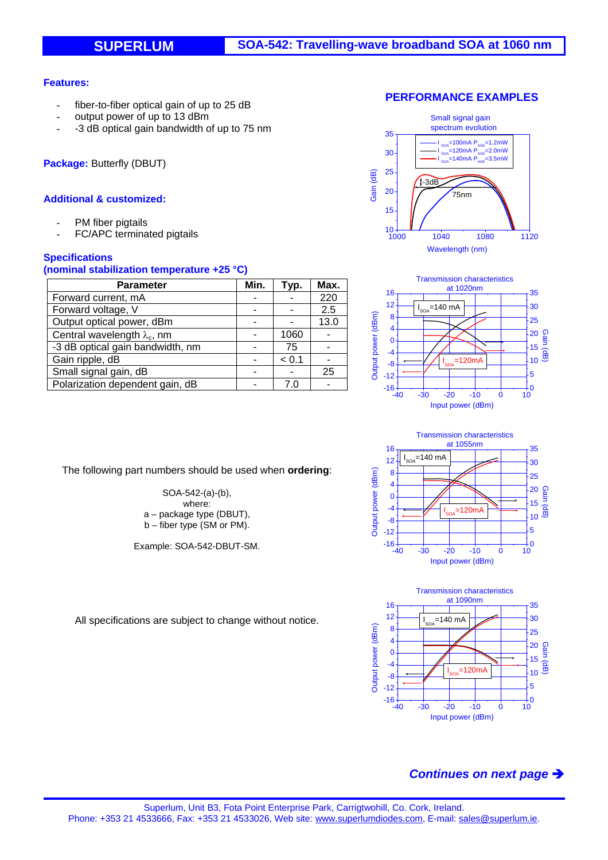### **Features:**

- fiber-to-fiber optical gain of up to 25 dB
- output power of up to 13 dBm
- -3 dB optical gain bandwidth of up to 75 nm

**Package:** Butterfly (DBUT)

### **Additional & customized:**

- PM fiber pigtails
- FC/APC terminated pigtails

### **Specifications**

### **(nominal stabilization temperature +25 °C)**

| <b>Parameter</b>                    | Min. | Typ.  | Max. |
|-------------------------------------|------|-------|------|
| Forward current, mA                 |      |       | 220  |
| Forward voltage, V                  |      |       | 2.5  |
| Output optical power, dBm           |      |       | 13.0 |
| Central wavelength $\lambda_c$ , nm |      | 1060  |      |
| -3 dB optical gain bandwidth, nm    |      | 75    |      |
| Gain ripple, dB                     |      | < 0.1 |      |
| Small signal gain, dB               |      |       | 25   |
| Polarization dependent gain, dB     |      |       |      |

The following part numbers should be used when **ordering**:

SOA-542-(a)-(b), where: a – package type (DBUT), b – fiber type (SM or PM).

Example: SOA-542-DBUT-SM.









All specifications are subject to change without notice.

## *Continues on next page*

#### **PERFORMANCE EXAMPLES**